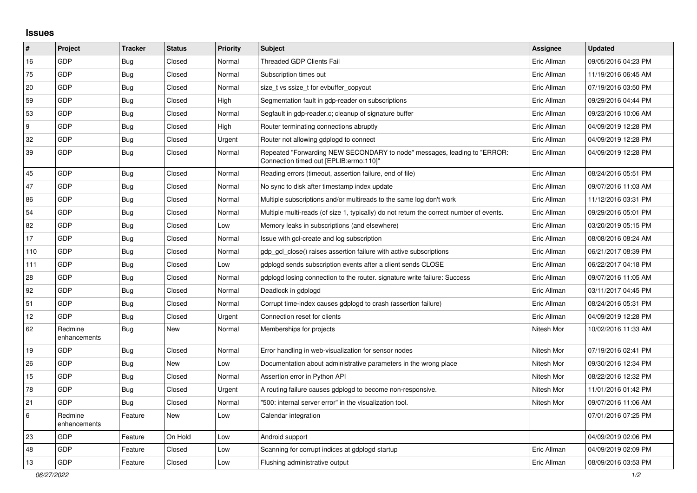## **Issues**

| $\#$    | Project                 | <b>Tracker</b> | <b>Status</b> | <b>Priority</b> | <b>Subject</b>                                                                                                      | Assignee    | <b>Updated</b>      |
|---------|-------------------------|----------------|---------------|-----------------|---------------------------------------------------------------------------------------------------------------------|-------------|---------------------|
| 16      | GDP                     | <b>Bug</b>     | Closed        | Normal          | Threaded GDP Clients Fail                                                                                           | Eric Allman | 09/05/2016 04:23 PM |
| 75      | GDP                     | Bug            | Closed        | Normal          | Subscription times out                                                                                              | Eric Allman | 11/19/2016 06:45 AM |
| 20      | GDP                     | <b>Bug</b>     | Closed        | Normal          | size_t vs ssize_t for evbuffer_copyout                                                                              | Eric Allman | 07/19/2016 03:50 PM |
| 59      | <b>GDP</b>              | <b>Bug</b>     | Closed        | High            | Segmentation fault in gdp-reader on subscriptions                                                                   | Eric Allman | 09/29/2016 04:44 PM |
| 53      | GDP                     | Bug            | Closed        | Normal          | Segfault in gdp-reader.c; cleanup of signature buffer                                                               | Eric Allman | 09/23/2016 10:06 AM |
| 9       | GDP                     | <b>Bug</b>     | Closed        | High            | Router terminating connections abruptly                                                                             | Eric Allman | 04/09/2019 12:28 PM |
| 32      | GDP                     | <b>Bug</b>     | Closed        | Urgent          | Router not allowing gdplogd to connect                                                                              | Eric Allman | 04/09/2019 12:28 PM |
| 39      | <b>GDP</b>              | Bug            | Closed        | Normal          | Repeated "Forwarding NEW SECONDARY to node" messages, leading to "ERROR:<br>Connection timed out [EPLIB:errno:110]" | Eric Allman | 04/09/2019 12:28 PM |
| 45      | GDP                     | Bug            | Closed        | Normal          | Reading errors (timeout, assertion failure, end of file)                                                            | Eric Allman | 08/24/2016 05:51 PM |
| 47      | <b>GDP</b>              | <b>Bug</b>     | Closed        | Normal          | No sync to disk after timestamp index update                                                                        | Eric Allman | 09/07/2016 11:03 AM |
| 86      | GDP                     | Bug            | Closed        | Normal          | Multiple subscriptions and/or multireads to the same log don't work                                                 | Eric Allman | 11/12/2016 03:31 PM |
| 54      | GDP                     | <b>Bug</b>     | Closed        | Normal          | Multiple multi-reads (of size 1, typically) do not return the correct number of events.                             | Eric Allman | 09/29/2016 05:01 PM |
| 82      | GDP                     | Bug            | Closed        | Low             | Memory leaks in subscriptions (and elsewhere)                                                                       | Eric Allman | 03/20/2019 05:15 PM |
| 17      | GDP                     | <b>Bug</b>     | Closed        | Normal          | Issue with gcl-create and log subscription                                                                          | Eric Allman | 08/08/2016 08:24 AM |
| 110     | GDP                     | <b>Bug</b>     | Closed        | Normal          | gdp gcl close() raises assertion failure with active subscriptions                                                  | Eric Allman | 06/21/2017 08:39 PM |
| 111     | GDP                     | <b>Bug</b>     | Closed        | Low             | gdplogd sends subscription events after a client sends CLOSE                                                        | Eric Allman | 06/22/2017 04:18 PM |
| 28      | GDP                     | Bug            | Closed        | Normal          | gdplogd losing connection to the router, signature write failure: Success                                           | Eric Allman | 09/07/2016 11:05 AM |
| 92      | GDP                     | <b>Bug</b>     | Closed        | Normal          | Deadlock in gdplogd                                                                                                 | Eric Allman | 03/11/2017 04:45 PM |
| 51      | <b>GDP</b>              | Bug            | Closed        | Normal          | Corrupt time-index causes gdplogd to crash (assertion failure)                                                      | Eric Allman | 08/24/2016 05:31 PM |
| 12      | GDP                     | <b>Bug</b>     | Closed        | Urgent          | Connection reset for clients                                                                                        | Eric Allman | 04/09/2019 12:28 PM |
| 62      | Redmine<br>enhancements | <b>Bug</b>     | <b>New</b>    | Normal          | Memberships for projects                                                                                            | Nitesh Mor  | 10/02/2016 11:33 AM |
| 19      | GDP                     | Bug            | Closed        | Normal          | Error handling in web-visualization for sensor nodes                                                                | Nitesh Mor  | 07/19/2016 02:41 PM |
| 26      | <b>GDP</b>              | <b>Bug</b>     | New           | Low             | Documentation about administrative parameters in the wrong place                                                    | Nitesh Mor  | 09/30/2016 12:34 PM |
| 15      | GDP                     | <b>Bug</b>     | Closed        | Normal          | Assertion error in Python API                                                                                       | Nitesh Mor  | 08/22/2016 12:32 PM |
| 78      | GDP                     | <b>Bug</b>     | Closed        | Urgent          | A routing failure causes gdplogd to become non-responsive.                                                          | Nitesh Mor  | 11/01/2016 01:42 PM |
| 21      | GDP                     | Bug            | Closed        | Normal          | "500: internal server error" in the visualization tool.                                                             | Nitesh Mor  | 09/07/2016 11:06 AM |
| $\,6\,$ | Redmine<br>enhancements | Feature        | New           | Low             | Calendar integration                                                                                                |             | 07/01/2016 07:25 PM |
| 23      | GDP                     | Feature        | On Hold       | Low             | Android support                                                                                                     |             | 04/09/2019 02:06 PM |
| 48      | <b>GDP</b>              | Feature        | Closed        | Low             | Scanning for corrupt indices at gdplogd startup                                                                     | Eric Allman | 04/09/2019 02:09 PM |
| 13      | GDP                     | Feature        | Closed        | Low             | Flushing administrative output                                                                                      | Eric Allman | 08/09/2016 03:53 PM |